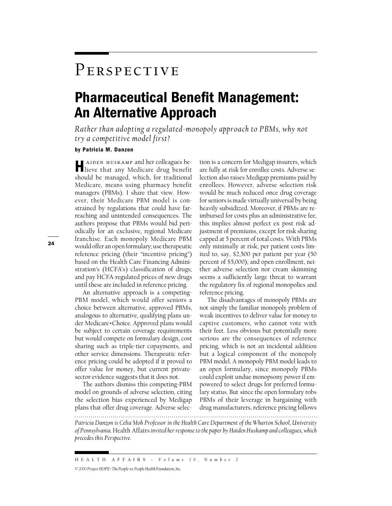## PERSPECTIVE

## Pharmaceutical Benefit Management: An Alternative Approach

*Rather than adopting a regulated-monopoly approach to PBMs, why not try a competitive model first?*

## by Patricia M. Danzon

Haiden huskamp and her colleagues be-lieve that any Medicare drug benefit should be managed, which, for traditional Medicare, means using pharmacy benefit managers (PBMs). I share that view. However, their Medicare PBM model is constrained by regulations that could have farreaching and unintended consequences. The authors propose that PBMs would bid periodically for an exclusive, regional Medicare franchise. Each monopoly Medicare PBM would offer an open formulary; use therapeutic reference pricing (their "incentive pricing") based on the Health Care Financing Administration's (HCFA's) classification of drugs; and pay HCFA-regulated prices of new drugs until these are included in reference pricing.

An alternative approach is a competing-PBM model, which would offer seniors a choice between alternative, approved PBMs, analogous to alternative, qualifying plans under Medicare+Choice. Approved plans would be subject to certain coverage requirements but would compete on formulary design, cost sharing such as triple-tier copayments, and other service dimensions. Therapeutic reference pricing could be adopted if it proved to offer value for money, but current privatesector evidence suggests that it does not.

The authors dismiss this competing-PBM model on grounds of adverse selection, citing the selection bias experienced by Medigap plans that offer drug coverage. Adverse selec-

tion is a concern for Medigap insurers, which are fully at risk for enrollee costs. Adverse selection also raises Medigap premiums paid by enrollees. However, adverse selection risk would be much reduced once drug coverage for seniors is made virtually universal by being heavily subsidized. Moreover, if PBMs are reimbursed for costs plus an administrative fee, this implies almost perfect ex post risk adjustment of premiums, except for risk sharing capped at 5 percent of total costs. With PBMs only minimally at risk; per patient costs limited to, say, \$2,500 per patient per year (50 percent of \$5,000); and open enrollment, neither adverse selection nor cream skimming seems a sufficiently large threat to warrant the regulatory fix of regional monopolies and reference pricing.

The disadvantages of monopoly PBMs are not simply the familiar monopoly problem of weak incentives to deliver value for money to captive customers, who cannot vote with their feet. Less obvious but potentially more serious are the consequences of reference pricing, which is not an incidental addition but a logical component of the monopoly PBM model. A monopoly PBM model leads to an open formulary, since monopoly PBMs could exploit undue monopsony power if empowered to select drugs for preferred formulary status. But since the open formulary robs PBMs of their leverage in bargaining with drug manufacturers, reference pricing follows

*Patricia Danzon is Celia Moh Professor in the Health Care Department of the Wharton School, University of Pennsylvania.* Health Affairs*invited her response to the paper by Haiden Huskamp and colleagues, which*

24

*precedes this Perspective.*

HEALTH AFFAIRS ~ *Volume 19, Number 2*

*<sup>©2000</sup> Project HOPE–The People-to-People Health Foundation, Inc.*